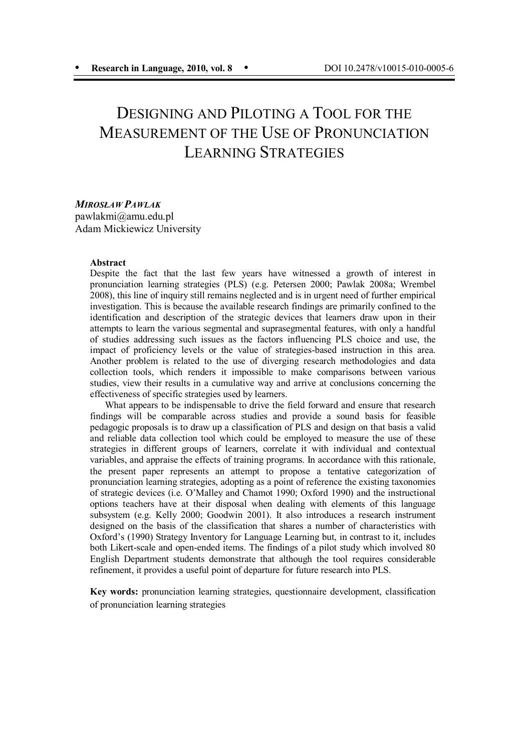# DESIGNING AND PILOTING A TOOL FOR THE MEASUREMENT OF THE USE OF PRONUNCIATION LEARNING STRATEGIES

*MIROSŁAW PAWLAK* pawlakmi@amu.edu.pl Adam Mickiewicz University

#### **Abstract**

Despite the fact that the last few years have witnessed a growth of interest in pronunciation learning strategies (PLS) (e.g. Petersen 2000; Pawlak 2008a; Wrembel 2008), this line of inquiry still remains neglected and is in urgent need of further empirical investigation. This is because the available research findings are primarily confined to the identification and description of the strategic devices that learners draw upon in their attempts to learn the various segmental and suprasegmental features, with only a handful of studies addressing such issues as the factors influencing PLS choice and use, the impact of proficiency levels or the value of strategies-based instruction in this area. Another problem is related to the use of diverging research methodologies and data collection tools, which renders it impossible to make comparisons between various studies, view their results in a cumulative way and arrive at conclusions concerning the effectiveness of specific strategies used by learners.

What appears to be indispensable to drive the field forward and ensure that research findings will be comparable across studies and provide a sound basis for feasible pedagogic proposals is to draw up a classification of PLS and design on that basis a valid and reliable data collection tool which could be employed to measure the use of these strategies in different groups of learners, correlate it with individual and contextual variables, and appraise the effects of training programs. In accordance with this rationale, the present paper represents an attempt to propose a tentative categorization of pronunciation learning strategies, adopting as a point of reference the existing taxonomies of strategic devices (i.e. O'Malley and Chamot 1990; Oxford 1990) and the instructional options teachers have at their disposal when dealing with elements of this language subsystem (e.g. Kelly 2000; Goodwin 2001). It also introduces a research instrument designed on the basis of the classification that shares a number of characteristics with Oxford's (1990) Strategy Inventory for Language Learning but, in contrast to it, includes both Likert-scale and open-ended items. The findings of a pilot study which involved 80 English Department students demonstrate that although the tool requires considerable refinement, it provides a useful point of departure for future research into PLS.

**Key words:** pronunciation learning strategies, questionnaire development, classification of pronunciation learning strategies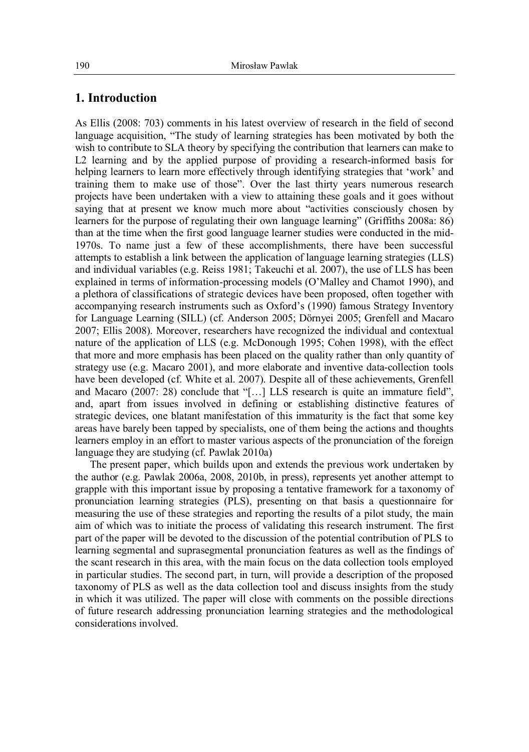#### **1. Introduction**

As Ellis (2008: 703) comments in his latest overview of research in the field of second language acquisition, "The study of learning strategies has been motivated by both the wish to contribute to SLA theory by specifying the contribution that learners can make to L<sub>2</sub> learning and by the applied purpose of providing a research-informed basis for helping learners to learn more effectively through identifying strategies that 'work' and training them to make use of those". Over the last thirty years numerous research projects have been undertaken with a view to attaining these goals and it goes without saying that at present we know much more about "activities consciously chosen by learners for the purpose of regulating their own language learning" (Griffiths 2008a: 86) than at the time when the first good language learner studies were conducted in the mid-1970s. To name just a few of these accomplishments, there have been successful attempts to establish a link between the application of language learning strategies (LLS) and individual variables (e.g. Reiss 1981; Takeuchi et al. 2007), the use of LLS has been explained in terms of information-processing models (O'Malley and Chamot 1990), and a plethora of classifications of strategic devices have been proposed, often together with accompanying research instruments such as Oxford's (1990) famous Strategy Inventory for Language Learning (SILL) (cf. Anderson 2005; Dörnyei 2005; Grenfell and Macaro 2007; Ellis 2008). Moreover, researchers have recognized the individual and contextual nature of the application of LLS (e.g. McDonough 1995; Cohen 1998), with the effect that more and more emphasis has been placed on the quality rather than only quantity of strategy use (e.g. Macaro 2001), and more elaborate and inventive data-collection tools have been developed (cf. White et al. 2007). Despite all of these achievements, Grenfell and Macaro (2007: 28) conclude that "[…] LLS research is quite an immature field", and, apart from issues involved in defining or establishing distinctive features of strategic devices, one blatant manifestation of this immaturity is the fact that some key areas have barely been tapped by specialists, one of them being the actions and thoughts learners employ in an effort to master various aspects of the pronunciation of the foreign language they are studying (cf. Pawlak 2010a)

The present paper, which builds upon and extends the previous work undertaken by the author (e.g. Pawlak 2006a, 2008, 2010b, in press), represents yet another attempt to grapple with this important issue by proposing a tentative framework for a taxonomy of pronunciation learning strategies (PLS), presenting on that basis a questionnaire for measuring the use of these strategies and reporting the results of a pilot study, the main aim of which was to initiate the process of validating this research instrument. The first part of the paper will be devoted to the discussion of the potential contribution of PLS to learning segmental and suprasegmental pronunciation features as well as the findings of the scant research in this area, with the main focus on the data collection tools employed in particular studies. The second part, in turn, will provide a description of the proposed taxonomy of PLS as well as the data collection tool and discuss insights from the study in which it was utilized. The paper will close with comments on the possible directions of future research addressing pronunciation learning strategies and the methodological considerations involved.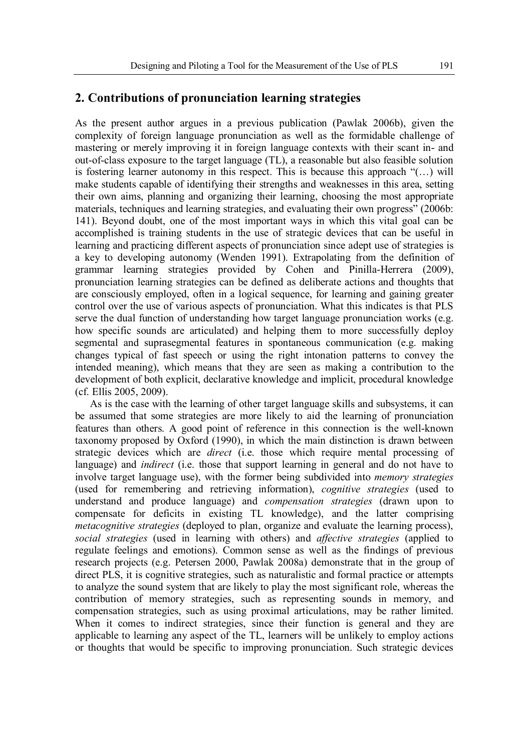## **2. Contributions of pronunciation learning strategies**

As the present author argues in a previous publication (Pawlak 2006b), given the complexity of foreign language pronunciation as well as the formidable challenge of mastering or merely improving it in foreign language contexts with their scant in- and out-of-class exposure to the target language (TL), a reasonable but also feasible solution is fostering learner autonomy in this respect. This is because this approach "(…) will make students capable of identifying their strengths and weaknesses in this area, setting their own aims, planning and organizing their learning, choosing the most appropriate materials, techniques and learning strategies, and evaluating their own progress" (2006b: 141). Beyond doubt, one of the most important ways in which this vital goal can be accomplished is training students in the use of strategic devices that can be useful in learning and practicing different aspects of pronunciation since adept use of strategies is a key to developing autonomy (Wenden 1991). Extrapolating from the definition of grammar learning strategies provided by Cohen and Pinilla-Herrera (2009), pronunciation learning strategies can be defined as deliberate actions and thoughts that are consciously employed, often in a logical sequence, for learning and gaining greater control over the use of various aspects of pronunciation. What this indicates is that PLS serve the dual function of understanding how target language pronunciation works (e.g. how specific sounds are articulated) and helping them to more successfully deploy segmental and suprasegmental features in spontaneous communication (e.g. making changes typical of fast speech or using the right intonation patterns to convey the intended meaning), which means that they are seen as making a contribution to the development of both explicit, declarative knowledge and implicit, procedural knowledge (cf. Ellis 2005, 2009).

As is the case with the learning of other target language skills and subsystems, it can be assumed that some strategies are more likely to aid the learning of pronunciation features than others. A good point of reference in this connection is the well-known taxonomy proposed by Oxford (1990), in which the main distinction is drawn between strategic devices which are *direct* (i.e. those which require mental processing of language) and *indirect* (i.e. those that support learning in general and do not have to involve target language use), with the former being subdivided into *memory strategies* (used for remembering and retrieving information), *cognitive strategies* (used to understand and produce language) and *compensation strategies* (drawn upon to compensate for deficits in existing TL knowledge), and the latter comprising *metacognitive strategies* (deployed to plan, organize and evaluate the learning process), *social strategies* (used in learning with others) and *affective strategies* (applied to regulate feelings and emotions). Common sense as well as the findings of previous research projects (e.g. Petersen 2000, Pawlak 2008a) demonstrate that in the group of direct PLS, it is cognitive strategies, such as naturalistic and formal practice or attempts to analyze the sound system that are likely to play the most significant role, whereas the contribution of memory strategies, such as representing sounds in memory, and compensation strategies, such as using proximal articulations, may be rather limited. When it comes to indirect strategies, since their function is general and they are applicable to learning any aspect of the TL, learners will be unlikely to employ actions or thoughts that would be specific to improving pronunciation. Such strategic devices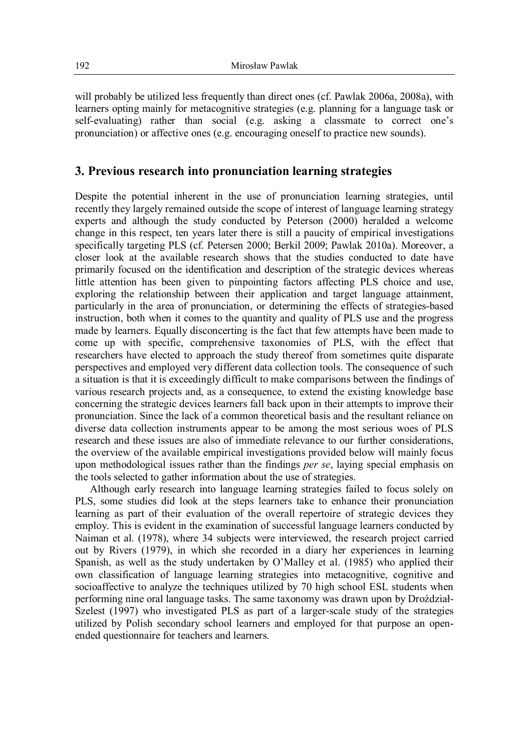will probably be utilized less frequently than direct ones (cf. Pawlak 2006a, 2008a), with learners opting mainly for metacognitive strategies (e.g. planning for a language task or self-evaluating) rather than social (e.g. asking a classmate to correct one's pronunciation) or affective ones (e.g. encouraging oneself to practice new sounds).

## **3. Previous research into pronunciation learning strategies**

Despite the potential inherent in the use of pronunciation learning strategies, until recently they largely remained outside the scope of interest of language learning strategy experts and although the study conducted by Peterson (2000) heralded a welcome change in this respect, ten years later there is still a paucity of empirical investigations specifically targeting PLS (cf. Petersen 2000; Berkil 2009; Pawlak 2010a). Moreover, a closer look at the available research shows that the studies conducted to date have primarily focused on the identification and description of the strategic devices whereas little attention has been given to pinpointing factors affecting PLS choice and use, exploring the relationship between their application and target language attainment, particularly in the area of pronunciation, or determining the effects of strategies-based instruction, both when it comes to the quantity and quality of PLS use and the progress made by learners. Equally disconcerting is the fact that few attempts have been made to come up with specific, comprehensive taxonomies of PLS, with the effect that researchers have elected to approach the study thereof from sometimes quite disparate perspectives and employed very different data collection tools. The consequence of such a situation is that it is exceedingly difficult to make comparisons between the findings of various research projects and, as a consequence, to extend the existing knowledge base concerning the strategic devices learners fall back upon in their attempts to improve their pronunciation. Since the lack of a common theoretical basis and the resultant reliance on diverse data collection instruments appear to be among the most serious woes of PLS research and these issues are also of immediate relevance to our further considerations, the overview of the available empirical investigations provided below will mainly focus upon methodological issues rather than the findings *per se*, laying special emphasis on the tools selected to gather information about the use of strategies.

Although early research into language learning strategies failed to focus solely on PLS, some studies did look at the steps learners take to enhance their pronunciation learning as part of their evaluation of the overall repertoire of strategic devices they employ. This is evident in the examination of successful language learners conducted by Naiman et al. (1978), where 34 subjects were interviewed, the research project carried out by Rivers (1979), in which she recorded in a diary her experiences in learning Spanish, as well as the study undertaken by O'Malley et al. (1985) who applied their own classification of language learning strategies into metacognitive, cognitive and socioaffective to analyze the techniques utilized by 70 high school ESL students when performing nine oral language tasks. The same taxonomy was drawn upon by Droździał-Szelest (1997) who investigated PLS as part of a larger-scale study of the strategies utilized by Polish secondary school learners and employed for that purpose an openended questionnaire for teachers and learners.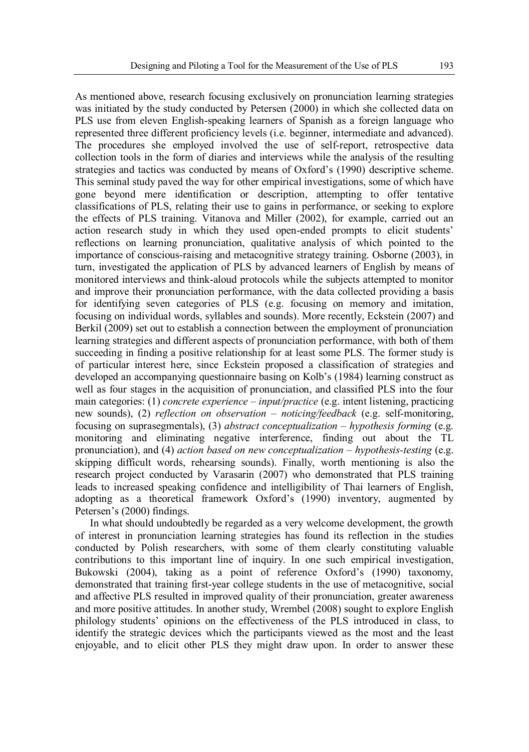As mentioned above, research focusing exclusively on pronunciation learning strategies was initiated by the study conducted by Petersen (2000) in which she collected data on PLS use from eleven English-speaking learners of Spanish as a foreign language who represented three different proficiency levels (i.e. beginner, intermediate and advanced). The procedures she employed involved the use of self-report, retrospective data collection tools in the form of diaries and interviews while the analysis of the resulting strategies and tactics was conducted by means of Oxford's (1990) descriptive scheme. This seminal study paved the way for other empirical investigations, some of which have gone beyond mere identification or description, attempting to offer tentative classifications of PLS, relating their use to gains in performance, or seeking to explore the effects of PLS training. Vitanova and Miller (2002), for example, carried out an action research study in which they used open-ended prompts to elicit students' reflections on learning pronunciation, qualitative analysis of which pointed to the importance of conscious-raising and metacognitive strategy training. Osborne (2003), in turn, investigated the application of PLS by advanced learners of English by means of monitored interviews and think-aloud protocols while the subjects attempted to monitor and improve their pronunciation performance, with the data collected providing a basis for identifying seven categories of PLS (e.g. focusing on memory and imitation, focusing on individual words, syllables and sounds). More recently, Eckstein (2007) and Berkil (2009) set out to establish a connection between the employment of pronunciation learning strategies and different aspects of pronunciation performance, with both of them succeeding in finding a positive relationship for at least some PLS. The former study is of particular interest here, since Eckstein proposed a classification of strategies and developed an accompanying questionnaire basing on Kolb's (1984) learning construct as well as four stages in the acquisition of pronunciation, and classified PLS into the four main categories: (1) *concrete experience* – *input/practice* (e.g. intent listening, practicing new sounds), (2) *reflection on observation – noticing/feedback* (e.g. self-monitoring, focusing on suprasegmentals), (3) *abstract conceptualization – hypothesis forming* (e.g. monitoring and eliminating negative interference, finding out about the TL pronunciation), and (4) *action based on new conceptualization – hypothesis-testing* (e.g. skipping difficult words, rehearsing sounds). Finally, worth mentioning is also the research project conducted by Varasarin (2007) who demonstrated that PLS training leads to increased speaking confidence and intelligibility of Thai learners of English, adopting as a theoretical framework Oxford's (1990) inventory, augmented by Petersen's (2000) findings.

In what should undoubtedly be regarded as a very welcome development, the growth of interest in pronunciation learning strategies has found its reflection in the studies conducted by Polish researchers, with some of them clearly constituting valuable contributions to this important line of inquiry. In one such empirical investigation, Bukowski (2004), taking as a point of reference Oxford's (1990) taxonomy, demonstrated that training first-year college students in the use of metacognitive, social and affective PLS resulted in improved quality of their pronunciation, greater awareness and more positive attitudes. In another study, Wrembel (2008) sought to explore English philology students' opinions on the effectiveness of the PLS introduced in class, to identify the strategic devices which the participants viewed as the most and the least enjoyable, and to elicit other PLS they might draw upon. In order to answer these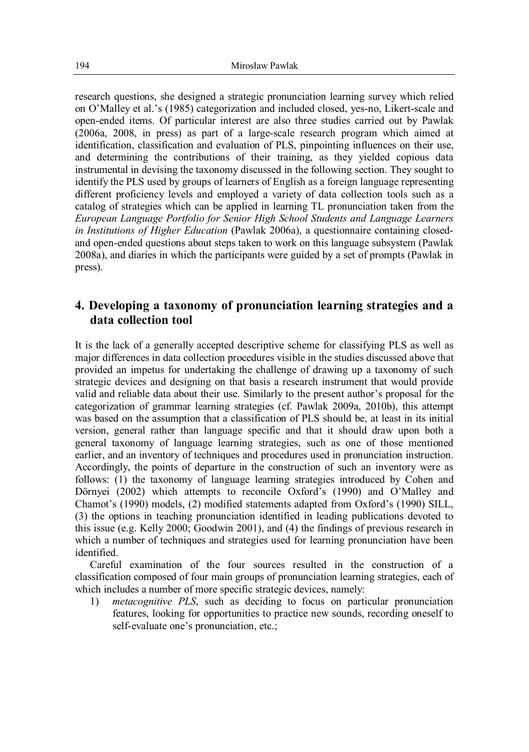research questions, she designed a strategic pronunciation learning survey which relied on O'Malley et al.'s (1985) categorization and included closed, yes-no, Likert-scale and open-ended items. Of particular interest are also three studies carried out by Pawlak (2006a, 2008, in press) as part of a large-scale research program which aimed at identification, classification and evaluation of PLS, pinpointing influences on their use, and determining the contributions of their training, as they yielded copious data instrumental in devising the taxonomy discussed in the following section. They sought to identify the PLS used by groups of learners of English as a foreign language representing different proficiency levels and employed a variety of data collection tools such as a catalog of strategies which can be applied in learning TL pronunciation taken from the *European Language Portfolio for Senior High School Students and Language Learners in Institutions of Higher Education* (Pawlak 2006a), a questionnaire containing closedand open-ended questions about steps taken to work on this language subsystem (Pawlak 2008a), and diaries in which the participants were guided by a set of prompts (Pawlak in press).

# **4. Developing a taxonomy of pronunciation learning strategies and a data collection tool**

It is the lack of a generally accepted descriptive scheme for classifying PLS as well as major differences in data collection procedures visible in the studies discussed above that provided an impetus for undertaking the challenge of drawing up a taxonomy of such strategic devices and designing on that basis a research instrument that would provide valid and reliable data about their use. Similarly to the present author's proposal for the categorization of grammar learning strategies (cf. Pawlak 2009a, 2010b), this attempt was based on the assumption that a classification of PLS should be, at least in its initial version, general rather than language specific and that it should draw upon both a general taxonomy of language learning strategies, such as one of those mentioned earlier, and an inventory of techniques and procedures used in pronunciation instruction. Accordingly, the points of departure in the construction of such an inventory were as follows: (1) the taxonomy of language learning strategies introduced by Cohen and Dörnyei (2002) which attempts to reconcile Oxford's (1990) and O'Malley and Chamot's (1990) models, (2) modified statements adapted from Oxford's (1990) SILL, (3) the options in teaching pronunciation identified in leading publications devoted to this issue (e.g. Kelly 2000; Goodwin 2001), and (4) the findings of previous research in which a number of techniques and strategies used for learning pronunciation have been identified.

Careful examination of the four sources resulted in the construction of a classification composed of four main groups of pronunciation learning strategies, each of which includes a number of more specific strategic devices, namely:

1) *metacognitive PLS*, such as deciding to focus on particular pronunciation features, looking for opportunities to practice new sounds, recording oneself to self-evaluate one's pronunciation, etc.;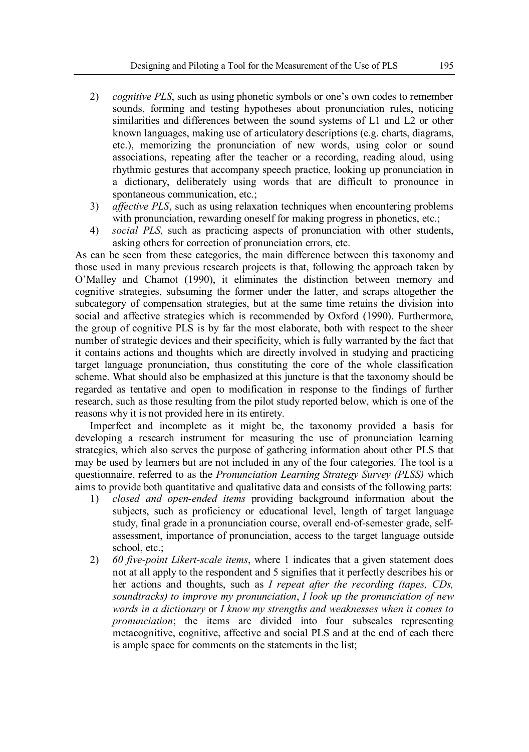- 2) *cognitive PLS*, such as using phonetic symbols or one's own codes to remember sounds, forming and testing hypotheses about pronunciation rules, noticing similarities and differences between the sound systems of L1 and L2 or other known languages, making use of articulatory descriptions (e.g. charts, diagrams, etc.), memorizing the pronunciation of new words, using color or sound associations, repeating after the teacher or a recording, reading aloud, using rhythmic gestures that accompany speech practice, looking up pronunciation in a dictionary, deliberately using words that are difficult to pronounce in spontaneous communication, etc.;
- 3) *affective PLS*, such as using relaxation techniques when encountering problems with pronunciation, rewarding oneself for making progress in phonetics, etc.;
- 4) *social PLS*, such as practicing aspects of pronunciation with other students, asking others for correction of pronunciation errors, etc.

As can be seen from these categories, the main difference between this taxonomy and those used in many previous research projects is that, following the approach taken by O'Malley and Chamot (1990), it eliminates the distinction between memory and cognitive strategies, subsuming the former under the latter, and scraps altogether the subcategory of compensation strategies, but at the same time retains the division into social and affective strategies which is recommended by Oxford (1990). Furthermore, the group of cognitive PLS is by far the most elaborate, both with respect to the sheer number of strategic devices and their specificity, which is fully warranted by the fact that it contains actions and thoughts which are directly involved in studying and practicing target language pronunciation, thus constituting the core of the whole classification scheme. What should also be emphasized at this juncture is that the taxonomy should be regarded as tentative and open to modification in response to the findings of further research, such as those resulting from the pilot study reported below, which is one of the reasons why it is not provided here in its entirety.

Imperfect and incomplete as it might be, the taxonomy provided a basis for developing a research instrument for measuring the use of pronunciation learning strategies, which also serves the purpose of gathering information about other PLS that may be used by learners but are not included in any of the four categories. The tool is a questionnaire, referred to as the *Pronunciation Learning Strategy Survey (PLSS)* which aims to provide both quantitative and qualitative data and consists of the following parts:

- 1) *closed and open-ended items* providing background information about the subjects, such as proficiency or educational level, length of target language study, final grade in a pronunciation course, overall end-of-semester grade, selfassessment, importance of pronunciation, access to the target language outside school, etc.;
- 2) *60 five-point Likert-scale items*, where 1 indicates that a given statement does not at all apply to the respondent and 5 signifies that it perfectly describes his or her actions and thoughts, such as *I repeat after the recording (tapes, CDs, soundtracks) to improve my pronunciation*, *I look up the pronunciation of new words in a dictionary* or *I know my strengths and weaknesses when it comes to pronunciation*; the items are divided into four subscales representing metacognitive, cognitive, affective and social PLS and at the end of each there is ample space for comments on the statements in the list;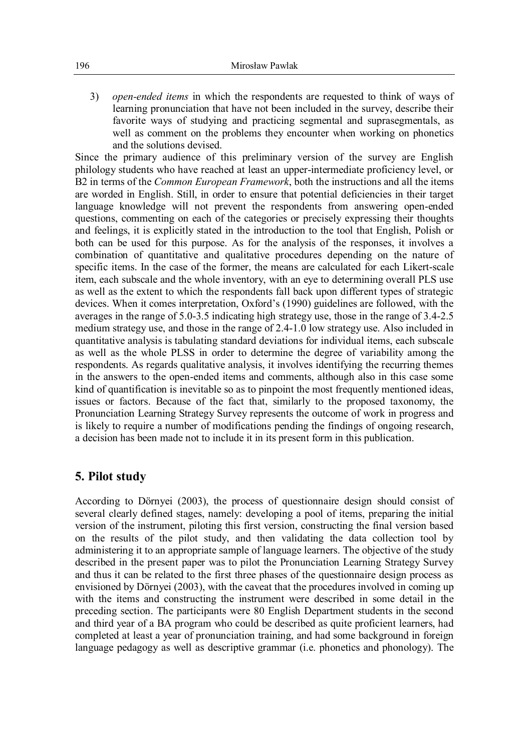3) *open-ended items* in which the respondents are requested to think of ways of learning pronunciation that have not been included in the survey, describe their favorite ways of studying and practicing segmental and suprasegmentals, as well as comment on the problems they encounter when working on phonetics and the solutions devised.

Since the primary audience of this preliminary version of the survey are English philology students who have reached at least an upper-intermediate proficiency level, or B2 in terms of the *Common European Framework*, both the instructions and all the items are worded in English. Still, in order to ensure that potential deficiencies in their target language knowledge will not prevent the respondents from answering open-ended questions, commenting on each of the categories or precisely expressing their thoughts and feelings, it is explicitly stated in the introduction to the tool that English, Polish or both can be used for this purpose. As for the analysis of the responses, it involves a combination of quantitative and qualitative procedures depending on the nature of specific items. In the case of the former, the means are calculated for each Likert-scale item, each subscale and the whole inventory, with an eye to determining overall PLS use as well as the extent to which the respondents fall back upon different types of strategic devices. When it comes interpretation, Oxford's (1990) guidelines are followed, with the averages in the range of 5.0-3.5 indicating high strategy use, those in the range of 3.4-2.5 medium strategy use, and those in the range of 2.4-1.0 low strategy use. Also included in quantitative analysis is tabulating standard deviations for individual items, each subscale as well as the whole PLSS in order to determine the degree of variability among the respondents. As regards qualitative analysis, it involves identifying the recurring themes in the answers to the open-ended items and comments, although also in this case some kind of quantification is inevitable so as to pinpoint the most frequently mentioned ideas, issues or factors. Because of the fact that, similarly to the proposed taxonomy, the Pronunciation Learning Strategy Survey represents the outcome of work in progress and is likely to require a number of modifications pending the findings of ongoing research, a decision has been made not to include it in its present form in this publication.

#### **5. Pilot study**

According to Dörnyei (2003), the process of questionnaire design should consist of several clearly defined stages, namely: developing a pool of items, preparing the initial version of the instrument, piloting this first version, constructing the final version based on the results of the pilot study, and then validating the data collection tool by administering it to an appropriate sample of language learners. The objective of the study described in the present paper was to pilot the Pronunciation Learning Strategy Survey and thus it can be related to the first three phases of the questionnaire design process as envisioned by Dörnyei (2003), with the caveat that the procedures involved in coming up with the items and constructing the instrument were described in some detail in the preceding section. The participants were 80 English Department students in the second and third year of a BA program who could be described as quite proficient learners, had completed at least a year of pronunciation training, and had some background in foreign language pedagogy as well as descriptive grammar (i.e. phonetics and phonology). The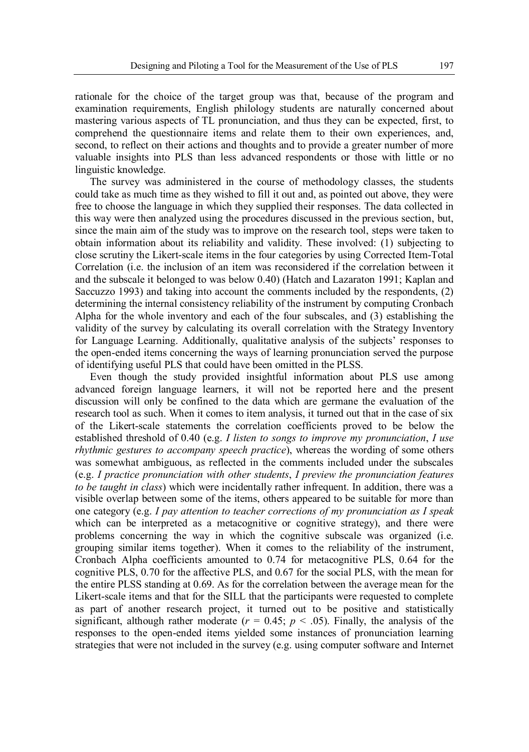rationale for the choice of the target group was that, because of the program and examination requirements, English philology students are naturally concerned about mastering various aspects of TL pronunciation, and thus they can be expected, first, to comprehend the questionnaire items and relate them to their own experiences, and, second, to reflect on their actions and thoughts and to provide a greater number of more valuable insights into PLS than less advanced respondents or those with little or no linguistic knowledge.

The survey was administered in the course of methodology classes, the students could take as much time as they wished to fill it out and, as pointed out above, they were free to choose the language in which they supplied their responses. The data collected in this way were then analyzed using the procedures discussed in the previous section, but, since the main aim of the study was to improve on the research tool, steps were taken to obtain information about its reliability and validity. These involved: (1) subjecting to close scrutiny the Likert-scale items in the four categories by using Corrected Item-Total Correlation (i.e. the inclusion of an item was reconsidered if the correlation between it and the subscale it belonged to was below 0.40) (Hatch and Lazaraton 1991; Kaplan and Saccuzzo 1993) and taking into account the comments included by the respondents, (2) determining the internal consistency reliability of the instrument by computing Cronbach Alpha for the whole inventory and each of the four subscales, and (3) establishing the validity of the survey by calculating its overall correlation with the Strategy Inventory for Language Learning. Additionally, qualitative analysis of the subjects' responses to the open-ended items concerning the ways of learning pronunciation served the purpose of identifying useful PLS that could have been omitted in the PLSS.

Even though the study provided insightful information about PLS use among advanced foreign language learners, it will not be reported here and the present discussion will only be confined to the data which are germane the evaluation of the research tool as such. When it comes to item analysis, it turned out that in the case of six of the Likert-scale statements the correlation coefficients proved to be below the established threshold of 0.40 (e.g. *I listen to songs to improve my pronunciation*, *I use rhythmic gestures to accompany speech practice*), whereas the wording of some others was somewhat ambiguous, as reflected in the comments included under the subscales (e.g. *I practice pronunciation with other students*, *I preview the pronunciation features to be taught in class*) which were incidentally rather infrequent. In addition, there was a visible overlap between some of the items, others appeared to be suitable for more than one category (e.g. *I pay attention to teacher corrections of my pronunciation as I speak* which can be interpreted as a metacognitive or cognitive strategy), and there were problems concerning the way in which the cognitive subscale was organized (i.e. grouping similar items together). When it comes to the reliability of the instrument, Cronbach Alpha coefficients amounted to 0.74 for metacognitive PLS, 0.64 for the cognitive PLS, 0.70 for the affective PLS, and 0.67 for the social PLS, with the mean for the entire PLSS standing at 0.69. As for the correlation between the average mean for the Likert-scale items and that for the SILL that the participants were requested to complete as part of another research project, it turned out to be positive and statistically significant, although rather moderate ( $r = 0.45$ ;  $p < .05$ ). Finally, the analysis of the responses to the open-ended items yielded some instances of pronunciation learning strategies that were not included in the survey (e.g. using computer software and Internet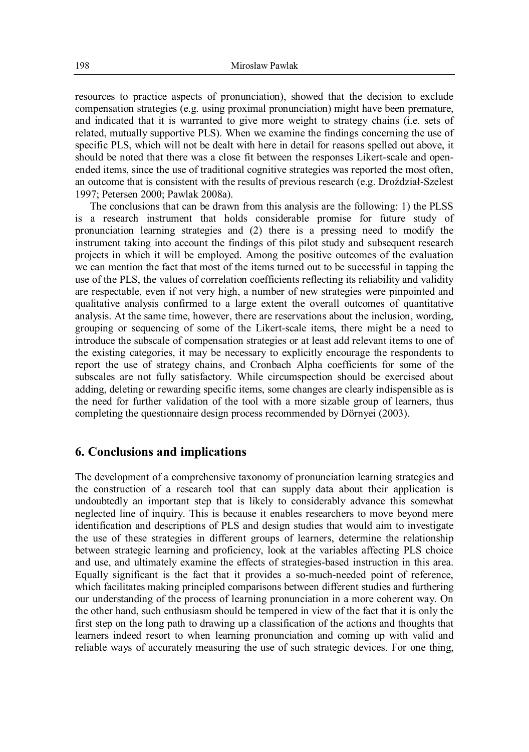resources to practice aspects of pronunciation), showed that the decision to exclude compensation strategies (e.g. using proximal pronunciation) might have been premature, and indicated that it is warranted to give more weight to strategy chains (i.e. sets of related, mutually supportive PLS). When we examine the findings concerning the use of specific PLS, which will not be dealt with here in detail for reasons spelled out above, it should be noted that there was a close fit between the responses Likert-scale and openended items, since the use of traditional cognitive strategies was reported the most often, an outcome that is consistent with the results of previous research (e.g. Droździał-Szelest 1997; Petersen 2000; Pawlak 2008a).

The conclusions that can be drawn from this analysis are the following: 1) the PLSS is a research instrument that holds considerable promise for future study of pronunciation learning strategies and (2) there is a pressing need to modify the instrument taking into account the findings of this pilot study and subsequent research projects in which it will be employed. Among the positive outcomes of the evaluation we can mention the fact that most of the items turned out to be successful in tapping the use of the PLS, the values of correlation coefficients reflecting its reliability and validity are respectable, even if not very high, a number of new strategies were pinpointed and qualitative analysis confirmed to a large extent the overall outcomes of quantitative analysis. At the same time, however, there are reservations about the inclusion, wording, grouping or sequencing of some of the Likert-scale items, there might be a need to introduce the subscale of compensation strategies or at least add relevant items to one of the existing categories, it may be necessary to explicitly encourage the respondents to report the use of strategy chains, and Cronbach Alpha coefficients for some of the subscales are not fully satisfactory. While circumspection should be exercised about adding, deleting or rewarding specific items, some changes are clearly indispensible as is the need for further validation of the tool with a more sizable group of learners, thus completing the questionnaire design process recommended by Dörnyei (2003).

#### **6. Conclusions and implications**

The development of a comprehensive taxonomy of pronunciation learning strategies and the construction of a research tool that can supply data about their application is undoubtedly an important step that is likely to considerably advance this somewhat neglected line of inquiry. This is because it enables researchers to move beyond mere identification and descriptions of PLS and design studies that would aim to investigate the use of these strategies in different groups of learners, determine the relationship between strategic learning and proficiency, look at the variables affecting PLS choice and use, and ultimately examine the effects of strategies-based instruction in this area. Equally significant is the fact that it provides a so-much-needed point of reference, which facilitates making principled comparisons between different studies and furthering our understanding of the process of learning pronunciation in a more coherent way. On the other hand, such enthusiasm should be tempered in view of the fact that it is only the first step on the long path to drawing up a classification of the actions and thoughts that learners indeed resort to when learning pronunciation and coming up with valid and reliable ways of accurately measuring the use of such strategic devices. For one thing,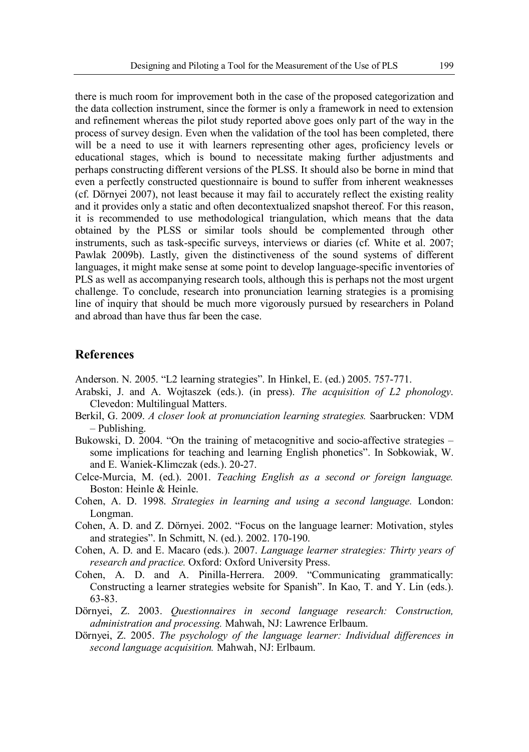there is much room for improvement both in the case of the proposed categorization and the data collection instrument, since the former is only a framework in need to extension and refinement whereas the pilot study reported above goes only part of the way in the process of survey design. Even when the validation of the tool has been completed, there will be a need to use it with learners representing other ages, proficiency levels or educational stages, which is bound to necessitate making further adjustments and perhaps constructing different versions of the PLSS. It should also be borne in mind that even a perfectly constructed questionnaire is bound to suffer from inherent weaknesses (cf. Dörnyei 2007), not least because it may fail to accurately reflect the existing reality and it provides only a static and often decontextualized snapshot thereof. For this reason, it is recommended to use methodological triangulation, which means that the data obtained by the PLSS or similar tools should be complemented through other instruments, such as task-specific surveys, interviews or diaries (cf. White et al. 2007; Pawlak 2009b). Lastly, given the distinctiveness of the sound systems of different languages, it might make sense at some point to develop language-specific inventories of PLS as well as accompanying research tools, although this is perhaps not the most urgent challenge. To conclude, research into pronunciation learning strategies is a promising line of inquiry that should be much more vigorously pursued by researchers in Poland and abroad than have thus far been the case.

#### **References**

Anderson. N. 2005. "L2 learning strategies". In Hinkel, E. (ed.) 2005. 757-771.

- Arabski, J. and A. Wojtaszek (eds.). (in press). *The acquisition of L2 phonology*. Clevedon: Multilingual Matters.
- Berkil, G. 2009. *A closer look at pronunciation learning strategies.* Saarbrucken: VDM – Publishing.
- Bukowski, D. 2004. "On the training of metacognitive and socio-affective strategies some implications for teaching and learning English phonetics". In Sobkowiak, W. and E. Waniek-Klimczak (eds.). 20-27.
- Celce-Murcia, M. (ed.). 2001. *Teaching English as a second or foreign language.*  Boston: Heinle & Heinle.
- Cohen, A. D. 1998. *Strategies in learning and using a second language.* London: Longman.
- Cohen, A. D. and Z. Dörnyei. 2002. "Focus on the language learner: Motivation, styles and strategies". In Schmitt, N. (ed.). 2002. 170-190.
- Cohen, A. D. and E. Macaro (eds.). 2007. *Language learner strategies: Thirty years of research and practice.* Oxford: Oxford University Press.
- Cohen, A. D. and A. Pinilla-Herrera. 2009. "Communicating grammatically: Constructing a learner strategies website for Spanish". In Kao, T. and Y. Lin (eds.). 63-83.
- Dörnyei, Z. 2003. *Questionnaires in second language research: Construction, administration and processing.* Mahwah, NJ: Lawrence Erlbaum.
- Dörnyei, Z. 2005. *The psychology of the language learner: Individual differences in second language acquisition.* Mahwah, NJ: Erlbaum.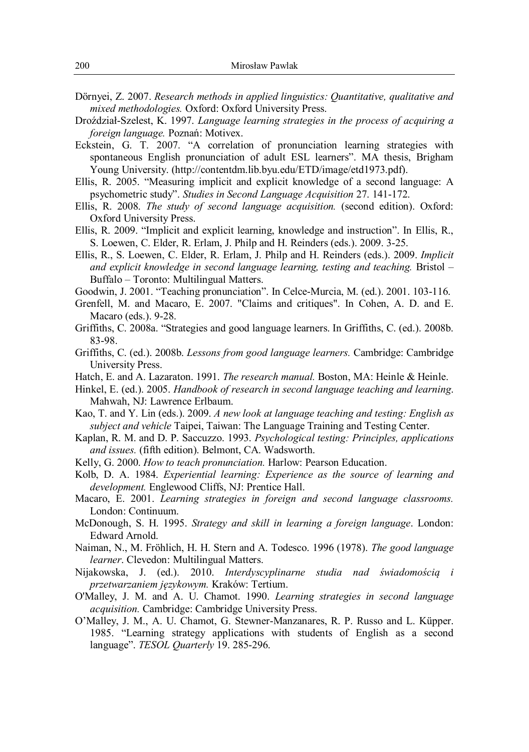- Dörnyei, Z. 2007. *Research methods in applied linguistics: Quantitative, qualitative and mixed methodologies.* Oxford: Oxford University Press.
- Droździał-Szelest, K. 1997. *Language learning strategies in the process of acquiring a foreign language.* Poznań: Motivex.
- Eckstein, G. T. 2007. "A correlation of pronunciation learning strategies with spontaneous English pronunciation of adult ESL learners". MA thesis, Brigham Young University. (http://contentdm.lib.byu.edu/ETD/image/etd1973.pdf).
- Ellis, R. 2005. "Measuring implicit and explicit knowledge of a second language: A psychometric study". *Studies in Second Language Acquisition* 27. 141-172.
- Ellis, R. 2008. *The study of second language acquisition.* (second edition). Oxford: Oxford University Press.
- Ellis, R. 2009. "Implicit and explicit learning, knowledge and instruction". In Ellis, R., S. Loewen, C. Elder, R. Erlam, J. Philp and H. Reinders (eds.). 2009. 3-25.
- Ellis, R., S. Loewen, C. Elder, R. Erlam, J. Philp and H. Reinders (eds.). 2009. *Implicit and explicit knowledge in second language learning, testing and teaching.* Bristol – Buffalo – Toronto: Multilingual Matters.
- Goodwin, J. 2001. "Teaching pronunciation". In Celce-Murcia, M. (ed.). 2001. 103-116.
- Grenfell, M. and Macaro, E. 2007. "Claims and critiques". In Cohen, A. D. and E. Macaro (eds.). 9-28.
- Griffiths, C. 2008a. "Strategies and good language learners. In Griffiths, C. (ed.). 2008b. 83-98.
- Griffiths, C. (ed.). 2008b. *Lessons from good language learners.* Cambridge: Cambridge University Press.
- Hatch, E. and A. Lazaraton. 1991. *The research manual.* Boston, MA: Heinle & Heinle.
- Hinkel, E. (ed.). 2005. *Handbook of research in second language teaching and learning*. Mahwah, NJ: Lawrence Erlbaum.
- Kao, T. and Y. Lin (eds.). 2009. *A new look at language teaching and testing: English as subject and vehicle* Taipei, Taiwan: The Language Training and Testing Center.
- Kaplan, R. M. and D. P. Saccuzzo. 1993. *Psychological testing: Principles, applications and issues.* (fifth edition). Belmont, CA. Wadsworth.
- Kelly, G. 2000. *How to teach pronunciation.* Harlow: Pearson Education.
- Kolb, D. A. 1984. *Experiential learning: Experience as the source of learning and development.* Englewood Cliffs, NJ: Prentice Hall.
- Macaro, E. 2001. *Learning strategies in foreign and second language classrooms.* London: Continuum.
- McDonough, S. H. 1995. *Strategy and skill in learning a foreign language*. London: Edward Arnold.
- Naiman, N., M. Fröhlich, H. H. Stern and A. Todesco. 1996 (1978). *The good language learner*. Clevedon: Multilingual Matters.
- Nijakowska, J. (ed.). 2010. *Interdyscyplinarne studia nad świadomością i przetwarzaniem językowym.* Kraków: Tertium.
- O'Malley, J. M. and A. U. Chamot. 1990. *Learning strategies in second language acquisition.* Cambridge: Cambridge University Press.
- O'Malley, J. M., A. U. Chamot, G. Stewner-Manzanares, R. P. Russo and L. Küpper. 1985. "Learning strategy applications with students of English as a second language". *TESOL Quarterly* 19. 285-296.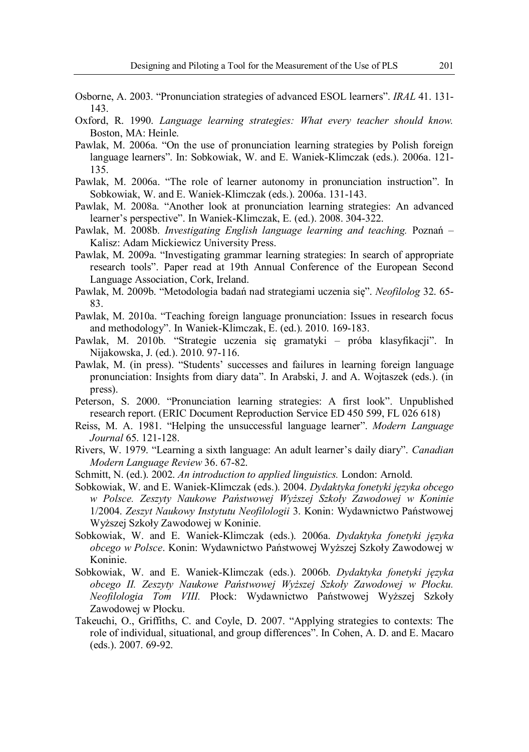- Osborne, A. 2003. "Pronunciation strategies of advanced ESOL learners". *IRAL* 41. 131- 143.
- Oxford, R. 1990. *Language learning strategies: What every teacher should know.*  Boston, MA: Heinle.
- Pawlak, M. 2006a. "On the use of pronunciation learning strategies by Polish foreign language learners". In: Sobkowiak, W. and E. Waniek-Klimczak (eds.). 2006a. 121- 135.
- Pawlak, M. 2006a. "The role of learner autonomy in pronunciation instruction". In Sobkowiak, W. and E. Waniek-Klimczak (eds.). 2006a. 131-143.
- Pawlak, M. 2008a. "Another look at pronunciation learning strategies: An advanced learner's perspective". In Waniek-Klimczak, E. (ed.). 2008. 304-322.
- Pawlak, M. 2008b. *Investigating English language learning and teaching.* Poznań Kalisz: Adam Mickiewicz University Press.
- Pawlak, M. 2009a. "Investigating grammar learning strategies: In search of appropriate research tools". Paper read at 19th Annual Conference of the European Second Language Association, Cork, Ireland.
- Pawlak, M. 2009b. "Metodologia badań nad strategiami uczenia się". *Neofilolog* 32. 65- 83.
- Pawlak, M. 2010a. "Teaching foreign language pronunciation: Issues in research focus and methodology". In Waniek-Klimczak, E. (ed.). 2010. 169-183.
- Pawlak, M. 2010b. "Strategie uczenia się gramatyki próba klasyfikacji". In Nijakowska, J. (ed.). 2010. 97-116.
- Pawlak, M. (in press). "Students' successes and failures in learning foreign language pronunciation: Insights from diary data". In Arabski, J. and A. Wojtaszek (eds.). (in press).
- Peterson, S. 2000. "Pronunciation learning strategies: A first look". Unpublished research report. (ERIC Document Reproduction Service ED 450 599, FL 026 618)
- Reiss, M. A. 1981. "Helping the unsuccessful language learner". *Modern Language Journal* 65. 121-128.
- Rivers, W. 1979. "Learning a sixth language: An adult learner's daily diary". *Canadian Modern Language Review* 36. 67-82.
- Schmitt, N. (ed.). 2002. *An introduction to applied linguistics.* London: Arnold.
- Sobkowiak, W. and E. Waniek-Klimczak (eds.). 2004. *Dydaktyka fonetyki języka obcego w Polsce. Zeszyty Naukowe Państwowej Wyższej Szkoły Zawodowej w Koninie* 1/2004. *Zeszyt Naukowy Instytutu Neofilologii* 3. Konin: Wydawnictwo Państwowej Wyższej Szkoły Zawodowej w Koninie.
- Sobkowiak, W. and E. Waniek-Klimczak (eds.). 2006a. *Dydaktyka fonetyki języka obcego w Polsce*. Konin: Wydawnictwo Państwowej Wyższej Szkoły Zawodowej w Koninie.
- Sobkowiak, W. and E. Waniek-Klimczak (eds.). 2006b. *Dydaktyka fonetyki języka obcego II. Zeszyty Naukowe Państwowej Wyższej Szkoły Zawodowej w Płocku. Neofilologia Tom VIII.* Płock: Wydawnictwo Państwowej Wyższej Szkoły Zawodowej w Płocku.
- Takeuchi, O., Griffiths, C. and Coyle, D. 2007. "Applying strategies to contexts: The role of individual, situational, and group differences". In Cohen, A. D. and E. Macaro (eds.). 2007. 69-92.